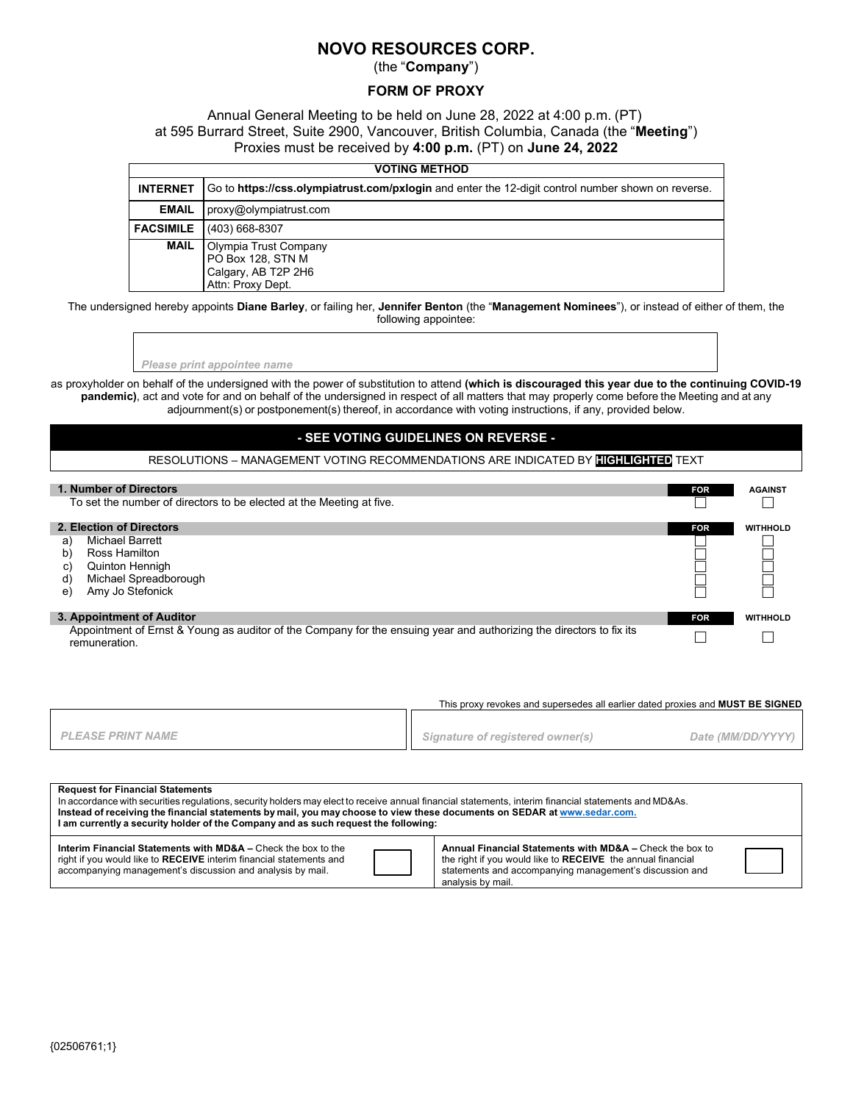# **NOVO RESOURCES CORP.**

(the "**Company**")

### **FORM OF PROXY**

Annual General Meeting to be held on June 28, 2022 at 4:00 p.m. (PT) at 595 Burrard Street, Suite 2900, Vancouver, British Columbia, Canada (the "**Meeting**") Proxies must be received by **4:00 p.m.** (PT) on **June 24, 2022** 

| <b>VOTING METHOD</b> |                                                                                                    |  |  |
|----------------------|----------------------------------------------------------------------------------------------------|--|--|
| <b>INTERNET</b>      | Go to https://css.olympiatrust.com/pxlogin and enter the 12-digit control number shown on reverse. |  |  |
| <b>EMAIL</b>         | proxy@olympiatrust.com                                                                             |  |  |
| <b>FACSIMILE</b>     | (403) 668-8307                                                                                     |  |  |
| <b>MAIL</b>          | Olympia Trust Company<br>PO Box 128, STN M<br>Calgary, AB T2P 2H6<br>Attn: Proxy Dept.             |  |  |

The undersigned hereby appoints **Diane Barley**, or failing her, **Jennifer Benton** (the "**Management Nominees**"), or instead of either of them, the following appointee:

*Please print appointee name*

as proxyholder on behalf of the undersigned with the power of substitution to attend **(which is discouraged this year due to the continuing COVID-19 pandemic)**, act and vote for and on behalf of the undersigned in respect of all matters that may properly come before the Meeting and at any adjournment(s) or postponement(s) thereof, in accordance with voting instructions, if any, provided below.

## **- SEE VOTING GUIDELINES ON REVERSE -**

#### RESOLUTIONS – MANAGEMENT VOTING RECOMMENDATIONS ARE INDICATED BY **HIGHLIGHTED** TEXT

| 1. Number of Directors<br>To set the number of directors to be elected at the Meeting at five.                                                                     | <b>FOR</b> | <b>AGAINST</b>  |
|--------------------------------------------------------------------------------------------------------------------------------------------------------------------|------------|-----------------|
| 2. Election of Directors<br>Michael Barrett<br>al<br>Ross Hamilton<br>b)<br><b>Quinton Hennigh</b><br>C)<br>Michael Spreadborough<br>d)<br>Amy Jo Stefonick<br>e)  | <b>FOR</b> | <b>WITHHOLD</b> |
| 3. Appointment of Auditor<br>Appointment of Ernst & Young as auditor of the Company for the ensuing year and authorizing the directors to fix its<br>remuneration. | <b>FOR</b> | <b>WITHHOLD</b> |

This proxy revokes and supersedes all earlier dated proxies and **MUST BE SIGNED** *PLEASE PRINT NAME Signature of registered owner(s) Date (MM/DD/YYYY)*

| <b>Request for Financial Statements</b><br>In accordance with securities regulations, security holders may elect to receive annual financial statements, interim financial statements and MD&As.<br>Instead of receiving the financial statements by mail, you may choose to view these documents on SEDAR at www.sedar.com.<br>I am currently a security holder of the Company and as such request the following: |  |                                                                                                                                                                                                         |  |  |  |
|--------------------------------------------------------------------------------------------------------------------------------------------------------------------------------------------------------------------------------------------------------------------------------------------------------------------------------------------------------------------------------------------------------------------|--|---------------------------------------------------------------------------------------------------------------------------------------------------------------------------------------------------------|--|--|--|
| Interim Financial Statements with MD&A – Check the box to the<br>right if you would like to RECEIVE interim financial statements and<br>accompanying management's discussion and analysis by mail.                                                                                                                                                                                                                 |  | Annual Financial Statements with MD&A - Check the box to<br>the right if you would like to RECEIVE the annual financial<br>statements and accompanying management's discussion and<br>analysis by mail. |  |  |  |